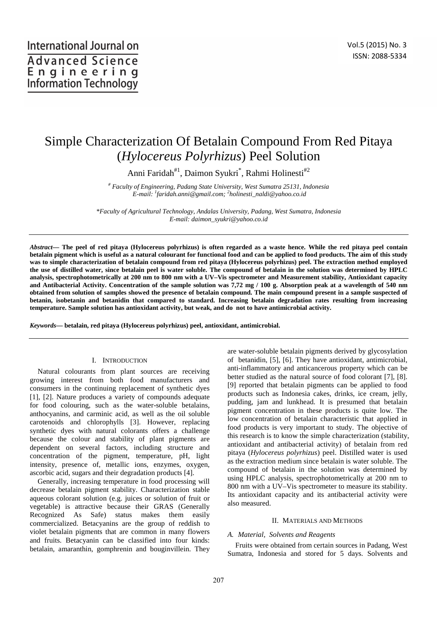# Simple Characterization Of Betalain Compound From Red Pitaya (*Hylocereus Polyrhizus*) Peel Solution

Anni Faridah<sup>#1</sup>, Daimon Syukri<sup>\*</sup>, Rahmi Holinesti<sup>#2</sup>

*# Faculty of Engineering, Padang State University, West Sumatra 25131, Indonesia E-mail: <sup>1</sup> faridah.anni@gmail.com; <sup>2</sup> holinesti\_naldi@yahoo.co.id* 

*\*Faculty of Agricultural Technology, Andalas University, Padang, West Sumatra, Indonesia E-mail: daimon\_syukri@yahoo.co.id* 

*Abstract***— The peel of red pitaya (Hylocereus polyrhizus) is often regarded as a waste hence. While the red pitaya peel contain betalain pigment which is useful as a natural colourant for functional food and can be applied to food products. The aim of this study was to simple characterization of betalain compound from red pitaya (Hylocereus polyrhizus) peel. The extraction method employed the use of distilled water, since betalain peel is water soluble. The compound of betalain in the solution was determined by HPLC analysis, spectrophotometrically at 200 nm to 800 nm with a UV–Vis spectrometer and Measurement stability, Antioxidant capacity and Antibacterial Activity. Concentration of the sample solution was 7,72 mg / 100 g. Absorption peak at a wavelength of 540 nm obtained from solution of samples showed the presence of betalain compound. The main compound present in a sample suspected of betanin, isobetanin and betanidin that compared to standard. Increasing betalain degradation rates resulting from increasing temperature. Sample solution has antioxidant activity, but weak, and do not to have antimicrobial activity.** 

*Keywords***— betalain, red pitaya (Hylocereus polyrhizus) peel, antioxidant, antimicrobial.** 

# I. INTRODUCTION

Natural colourants from plant sources are receiving growing interest from both food manufacturers and consumers in the continuing replacement of synthetic dyes [1], [2]. Nature produces a variety of compounds adequate for food colouring, such as the water-soluble betalains, anthocyanins, and carminic acid, as well as the oil soluble carotenoids and chlorophylls [3]. However, replacing synthetic dyes with natural colorants offers a challenge because the colour and stability of plant pigments are dependent on several factors, including structure and concentration of the pigment, temperature, pH, light intensity, presence of, metallic ions, enzymes, oxygen, ascorbic acid, sugars and their degradation products [4].

Generally, increasing temperature in food processing will decrease betalain pigment stability. Characterization stable aqueous colorant solution (e.g. juices or solution of fruit or vegetable) is attractive because their GRAS (Generally Recognized As Safe) status makes them easily commercialized. Betacyanins are the group of reddish to violet betalain pigments that are common in many flowers and fruits. Betacyanin can be classified into four kinds: betalain, amaranthin, gomphrenin and bouginvillein. They

are water-soluble betalain pigments derived by glycosylation of betanidin, [5], [6]. They have antioxidant, antimicrobial, anti-inflammatory and anticancerous property which can be better studied as the natural source of food colorant [7], [8]. [9] reported that betalain pigments can be applied to food products such as Indonesia cakes, drinks, ice cream, jelly, pudding, jam and lunkhead. It is presumed that betalain pigment concentration in these products is quite low. The low concentration of betalain characteristic that applied in food products is very important to study. The objective of this research is to know the simple characterization (stability, antioxidant and antibacterial activity) of betalain from red pitaya (*Hylocereus polyrhizus*) peel. Distilled water is used as the extraction medium since betalain is water soluble. The compound of betalain in the solution was determined by using HPLC analysis, spectrophotometrically at 200 nm to 800 nm with a UV–Vis spectrometer to measure its stability. Its antioxidant capacity and its antibacterial activity were also measured.

#### II. MATERIALS AND METHODS

#### *A. Material, Solvents and Reagents*

Fruits were obtained from certain sources in Padang, West Sumatra, Indonesia and stored for 5 days. Solvents and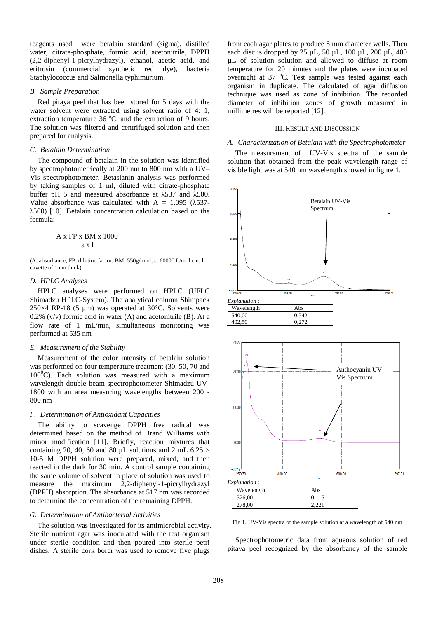reagents used were betalain standard (sigma), distilled water, citrate-phosphate, formic acid, acetonitrile, DPPH (2,2-diphenyl-1-picrylhydrazyl), ethanol, acetic acid, and eritrosin (commercial synthetic red dye), bacteria Staphylococcus and Salmonella typhimurium.

# *B. Sample Preparation*

Red pitaya peel that has been stored for 5 days with the water solvent were extracted using solvent ratio of 4: 1, extraction temperature  $36^{\circ}$ C, and the extraction of 9 hours. The solution was filtered and centrifuged solution and then prepared for analysis.

# *C. Betalain Determination*

The compound of betalain in the solution was identified by spectrophotometrically at 200 nm to 800 nm with a UV– Vis spectrophotometer. Betasianin analysis was performed by taking samples of 1 ml, diluted with citrate-phosphate buffer pH 5 and measured absorbance at λ537 and λ500. Value absorbance was calculated with  $A = 1.095$  ( $\lambda$ 537λ500) [10]. Betalain concentration calculation based on the formula:

$$
\frac{A \times FP \times BM \times 1000}{\epsilon \times 1}
$$

(A: absorbance; FP: dilution factor; BM: 550g/ mol; ε: 60000 L/mol cm, l: cuvette of 1 cm thick)

#### *D. HPLC Analyses*

HPLC analyses were performed on HPLC (UFLC Shimadzu HPLC-System). The analytical column Shimpack 250 $\times$ 4 RP-18 (5 µm) was operated at 30 $\degree$ C. Solvents were  $0.2\%$  (v/v) formic acid in water (A) and acetonitrile (B). At a flow rate of 1 mL/min, simultaneous monitoring was performed at 535 nm

#### *E. Measurement of the Stability*

Measurement of the color intensity of betalain solution was performed on four temperature treatment (30, 50, 70 and  $100^{\circ}$ C). Each solution was measured with a maximum wavelength double beam spectrophotometer Shimadzu UV-1800 with an area measuring wavelengths between 200 - 800 nm

# *F. Determination of Antioxidant Capacities*

The ability to scavenge DPPH free radical was determined based on the method of Brand Williams with minor modification [11]. Briefly, reaction mixtures that containing 20, 40, 60 and 80 µL solutions and 2 mL 6.25  $\times$ 10-5 M DPPH solution were prepared, mixed, and then reacted in the dark for 30 min. A control sample containing the same volume of solvent in place of solution was used to measure the maximum 2,2-diphenyl-1-picrylhydrazyl (DPPH) absorption. The absorbance at 517 nm was recorded to determine the concentration of the remaining DPPH.

## *G. Determination of Antibacterial Activities*

The solution was investigated for its antimicrobial activity. Sterile nutrient agar was inoculated with the test organism under sterile condition and then poured into sterile petri dishes. A sterile cork borer was used to remove five plugs

from each agar plates to produce 8 mm diameter wells. Then each disc is dropped by  $25 \mu L$ ,  $50 \mu L$ ,  $100 \mu L$ ,  $200 \mu L$ ,  $400 \mu L$ µL of solution solution and allowed to diffuse at room temperature for 20 minutes and the plates were incubated overnight at 37 °C. Test sample was tested against each organism in duplicate. The calculated of agar diffusion technique was used as zone of inhibition. The recorded diameter of inhibition zones of growth measured in millimetres will be reported [12].

#### III. RESULT AND DISCUSSION

## *A. Characterization of Betalain with the Spectrophotometer*

The measurement of UV-Vis spectra of the sample solution that obtained from the peak wavelength range of visible light was at 540 nm wavelength showed in figure 1.





Fig 1. UV-Vis spectra of the sample solution at a wavelength of 540 nm

Spectrophotometric data from aqueous solution of red pitaya peel recognized by the absorbancy of the sample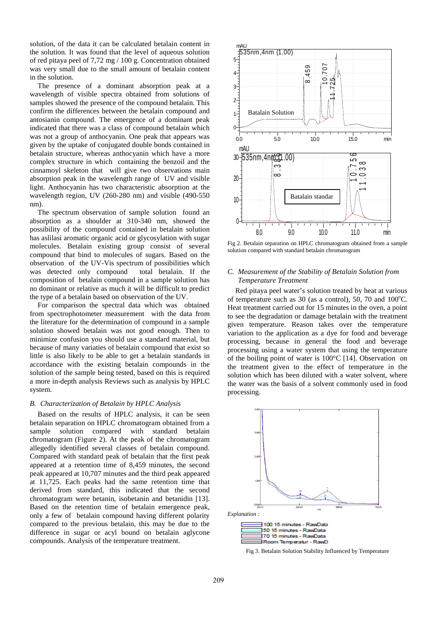solution, of the data it can be calculated betalain content in the solution. It was found that the level of aqueous solution of red pitaya peel of 7,72 mg / 100 g. Concentration obtained was very small due to the small amount of betalain content in the solution.

The presence of a dominant absorption peak at a wavelength of visible spectra obtained from solutions of samples showed the presence of the compound betalain. This confirm the differences between the betalain compound and antosianin compound. The emergence of a dominant peak indicated that there was a class of compound betalain which was not a group of anthocyanin. One peak that appears was given by the uptake of conjugated double bonds contained in betalain structure, whereas anthocyanin which have a more complex structure in which containing the benzoil and the cinnamoyl skeleton that will give two observations main absorption peak in the wavelength range of UV and visible light. Anthocyanin has two characteristic absorption at the wavelength region, UV (260-280 nm) and visible (490-550 nm).

The spectrum observation of sample solution found an absorption as a shoulder at 310-340 nm, showed the possibility of the compound contained in betalain solution has aslilasi aromatic organic acid or glycosylation with sugar molecules. Betalain existing group consist of several compound that bind to molecules of sugars. Based on the observation of the UV-Vis spectrum of possibilities which was detected only compound total betalain. If the composition of betalain compound in a sample solution has no dominant or relative as much it will be difficult to predict the type of a betalain based on observation of the UV.

For comparison the spectral data which was obtained from spectrophotometer measurement with the data from the literature for the determination of compound in a sample solution showed betalain was not good enough. Then to minimize confusion you should use a standard material, but because of many variaties of betalain compound that exist so little is also likely to be able to get a betalain standards in accordance with the existing betalain compounds in the solution of the sample being tested, based on this is required a more in-depth analysis Reviews such as analysis by HPLC system.

#### *B. Characterization of Betalain by HPLC Analysis*

Based on the results of HPLC analysis, it can be seen betalain separation on HPLC chromatogram obtained from a sample solution compared with standard betalain chromatogram (Figure 2). At the peak of the chromatogram allegedly identified several classes of betalain compound. Compared with standard peak of betalain that the first peak appeared at a retention time of 8,459 minutes, the second peak appeared at 10,707 minutes and the third peak appeared at 11,725. Each peaks had the same retention time that derived from standard, this indicated that the second chromatogram were betanin, isobetanin and betanidin [13]. Based on the retention time of betalain emergence peak, only a few of betalain compound having different polarity compared to the previous betalain, this may be due to the difference in sugar or acyl bound on betalain aglycone compounds. Analysis of the temperature treatment.



Fig 2. Betalain separation on HPLC chromatogram obtained from a sample solution compared with standard betalain chromatogram

# *C. Measurement of the Stability of Betalain Solution from Temperature Treatment*

Red pitaya peel water's solution treated by heat at various of temperature such as 30 (as a control), 50, 70 and  $100^{\circ}$ C. Heat treatment carried out for 15 minutes in the oven, a point to see the degradation or damage betalain with the treatment given temperature. Reason takes over the temperature variation to the application as a dye for food and beverage processing, because in general the food and beverage processing using a water system that using the temperature of the boiling point of water is 100°C [14]. Observation on the treatment given to the effect of temperature in the solution which has been diluted with a water solvent, where the water was the basis of a solvent commonly used in food processing.



Fig 3. Betalain Solution Stability Influenced by Temperature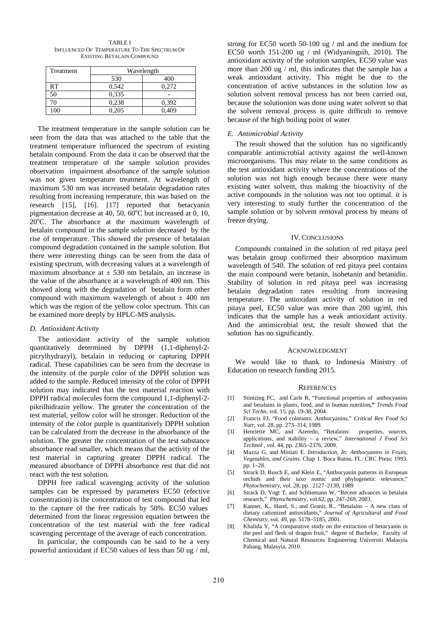| <b>TABLE I</b>                               |
|----------------------------------------------|
| INFLUENCED OF TEMPERATURE TO THE SPECTRUM OF |
| EXISTING BETALAIN COMPOUND                   |

| Treatment | Wavelength |       |
|-----------|------------|-------|
|           | 530        | 400   |
| RT        | 0,542      | 0.272 |
| 50        | 0.335      |       |
| 70        | 0,238      | 0,392 |
| 100       | 0.205      | 0.409 |

The treatment temperature in the sample solution can be seen from the data that was attached to the table that the treatment temperature influenced the spectrum of existing betalain compound. From the data it can be observed that the treatment temperature of the sample solution provides observation impairment absorbance of the sample solution was not given temperature treatment. At wavelength of maximum 530 nm was increased betalain degradation rates resulting from increasing temperature, this was based on the research [15], [16]. [17] reported that betacyanin pigmentation decrease at 40, 50,  $60^{\circ}$ C but increased at 0, 10,  $20^{\circ}$ C. The absorbance at the maximum wavelength of betalain compound in the sample solution decreased by the rise of temperature. This showed the presence of betalaian compound degradation contained in the sample solution. But there were interesting things can be seen from the data of existing spectrum, with decreasing values at a wavelength of maximum absorbance at  $\pm$  530 nm betalain, an increase in the value of the absorbance at a wavelength of 400 nm. This showed along with the degradation of betalain form other compound with maximum wavelength of about  $\pm$  400 nm which was the region of the yellow color spectrum. This can be examined more deeply by HPLC-MS analysis.

#### *D. Antioxidant Activity*

The antioxidant activity of the sample solution quantitatively determined by DPPH (1,1-diphenyl-2 picrylhydrazyl), betalain in reducing or capturing DPPH radical. These capabilities can be seen from the decrease in the intensity of the purple color of the DPPH solution was added to the sample. Reduced intensity of the color of DPPH solution may indicated that the test material reaction with DPPH radical molecules form the compound 1,1-diphenyl-2 pikrilhidrazin yellow. The greater the concentration of the test material, yellow color will be stronger. Reduction of the intensity of the color purple is quantitatively DPPH solution can be calculated from the decrease in the absorbance of the solution. The greater the concentration of the test substance absorbance read smaller, which means that the activity of the test material in capturing greater DPPH radical. The measured absorbance of DPPH absorbance rest that did not react with the test solution.

DPPH free radical scavenging activity of the solution samples can be expressed by parameters EC50 (efective consentration) is the concentration of test compound that led to the capture of the free radicals by 50%. EC50 values determined from the linear regression equation between the concentration of the test material with the free radical scavenging percentage of the average of each concentration.

In particular, the compounds can be said to be a very powerful antioxidant if EC50 values of less than 50 ug / ml,

strong for EC50 worth 50-100 ug / ml and the medium for EC50 worth 151-200 ug / ml (Widyaningsih, 2010). The antioxidant activity of the solution samples, EC50 value was more than 200 ug / ml, this indicates that the sample has a weak antioxidant activity. This might be due to the concentration of active substances in the solution low as solution solvent removal process has not been carried out, because the solutionion was done using water solvent so that the solvent removal process is quite difficult to remove because of the high boiling point of water

# *E. Antimicrobial Activity*

The result showed that the solution has no significantly comparable antimicrobial activity against the well-known microorganisms. This may relate to the same conditions as the test antioxidant activity where the concentrations of the solution was not high enough because there were many existing water solvent, thus making the bioactivity of the active compounds in the solution was not too optimal. it is very interesting to study further the concentration of the sample solution or by solvent removal process by means of freeze drying.

# IV.CONCLUSIONS

Compounds contained in the solution of red pitaya peel was betalain group confirmed their absorption maximum wavelength of 540. The solution of red pitaya peel contains the main compound were betanin, isobetanin and betanidin. Stability of solution in red pitaya peel was increasing betalain degradation rates resulting from increasing temperature. The antioxidant activity of solution in red pitaya peel, EC50 value was more than 200 ug/ml, this indicates that the sample has a weak antioxidant activity. And the antimicrobial test, the result showed that the solution has no significantly.

#### ACKNOWLEDGMENT

We would like to thank to Indonesia Ministry of Education on research funding 2015.

#### **REFERENCES**

- [1] Stintzing FC, and Carle R, "Functional properties of anthocyanins and betalains in plants, food, and in human nutrition**,"** *Trends Food Sci Techn*, vol. 15, pp. 19-38, 2004.
- [2] Francis FJ, "Food colorants: Anthocyanins," *Critical Rev Food Sci Nutr*, vol. 28, pp. 273–314, 1989.
- [3] Henriette MC, and Azeredo, "Betalains: properties, sources, applications, and stability – a review," *International J Food Sci Technol* , vol. 44, pp. 2365–2376, 2009.
- [4] Mazza G, and Miniati E. *Introduction, In: Anthocyanins in Fruits, Vegetables, and Grains*. Chap 1. Boca Raton, FL: CRC Press; 1993. pp. 1–28.
- [5] Strack D, Busch E, and Klein E, "Anthocyanin patterns in European orchids and their taxo nomic and phylogenetic relevance," *Phytochemistry,* vol. 28, pp. 2127–2139, 1989
- [6] Strack D, Vogt T, and Schliemann W, "Recent advances in betalain research," *Phytochemistry*, vol.62, pp. 247-269, 2003.
- [7] Kanner, K., Harel, S., and Granit, R., "Betalains A new class of dietary cationized antioxidants," *Journal of Agricultural and Food Chemistry*, vol. 49, pp. 5178–5185, 2001.
- [8] Khalida Y, "A comparative study on the extraction of betacyanin in the peel and flesh of dragon fruit," degree of Bachelor, Faculty of Chemical and Natural Resources Engineering Universiti Malasyia Pahang, Malasyia, 2010.